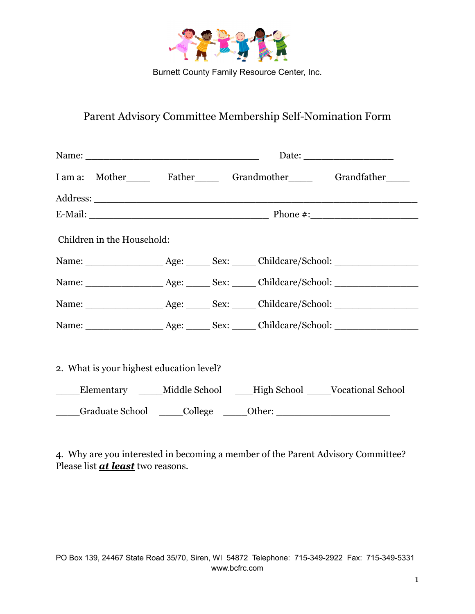

Burnett County Family Resource Center, Inc.

## Parent Advisory Committee Membership Self-Nomination Form

| I am a: Mother Father Grandmother Grandfather                                                                                                                                                                                  |  |  |  |  |
|--------------------------------------------------------------------------------------------------------------------------------------------------------------------------------------------------------------------------------|--|--|--|--|
|                                                                                                                                                                                                                                |  |  |  |  |
|                                                                                                                                                                                                                                |  |  |  |  |
| Children in the Household:                                                                                                                                                                                                     |  |  |  |  |
|                                                                                                                                                                                                                                |  |  |  |  |
|                                                                                                                                                                                                                                |  |  |  |  |
|                                                                                                                                                                                                                                |  |  |  |  |
|                                                                                                                                                                                                                                |  |  |  |  |
| 2. What is your highest education level?                                                                                                                                                                                       |  |  |  |  |
| Elementary ____Middle School ___High School ___Vocational School                                                                                                                                                               |  |  |  |  |
| College Cher: Collect College Collect Cher Collect Cher Collect Chern Collect Chern Collect Chern Collect Chern Collect Chern Collect Chern Collect Chern Collect Chern Collect Chern Collect Chern Collect Chern Collect Cher |  |  |  |  |

4. Why are you interested in becoming a member of the Parent Advisory Committee? Please list *at least* two reasons.